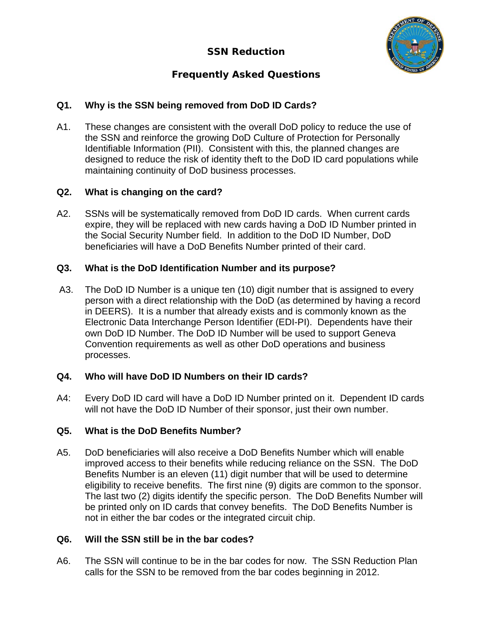

# **Frequently Asked Questions**

## **Q1. Why is the SSN being removed from DoD ID Cards?**

A1. These changes are consistent with the overall DoD policy to reduce the use of the SSN and reinforce the growing DoD Culture of Protection for Personally Identifiable Information (PII). Consistent with this, the planned changes are designed to reduce the risk of identity theft to the DoD ID card populations while maintaining continuity of DoD business processes.

## **Q2. What is changing on the card?**

A2. SSNs will be systematically removed from DoD ID cards. When current cards expire, they will be replaced with new cards having a DoD ID Number printed in the Social Security Number field. In addition to the DoD ID Number, DoD beneficiaries will have a DoD Benefits Number printed of their card.

## **Q3. What is the DoD Identification Number and its purpose?**

A3. The DoD ID Number is a unique ten (10) digit number that is assigned to every person with a direct relationship with the DoD (as determined by having a record in DEERS). It is a number that already exists and is commonly known as the Electronic Data Interchange Person Identifier (EDI-PI). Dependents have their own DoD ID Number. The DoD ID Number will be used to support Geneva Convention requirements as well as other DoD operations and business processes.

## **Q4. Who will have DoD ID Numbers on their ID cards?**

A4: Every DoD ID card will have a DoD ID Number printed on it. Dependent ID cards will not have the DoD ID Number of their sponsor, just their own number.

## **Q5. What is the DoD Benefits Number?**

A5. DoD beneficiaries will also receive a DoD Benefits Number which will enable improved access to their benefits while reducing reliance on the SSN. The DoD Benefits Number is an eleven (11) digit number that will be used to determine eligibility to receive benefits. The first nine (9) digits are common to the sponsor. The last two (2) digits identify the specific person. The DoD Benefits Number will be printed only on ID cards that convey benefits. The DoD Benefits Number is not in either the bar codes or the integrated circuit chip.

## **Q6. Will the SSN still be in the bar codes?**

A6. The SSN will continue to be in the bar codes for now. The SSN Reduction Plan calls for the SSN to be removed from the bar codes beginning in 2012.